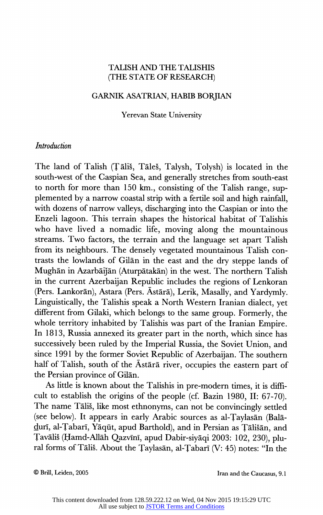# **TALISH AND THE TALISHIS (THE STATE OF RESEARCH)**

### **GARNIK ASATRIAN, HABIB BORJIAN**

### **Yerevan State University**

### **Introduction**

**The land of Talish (T alis, Tales, Talysh, Tolysh) is located in the south-west of the Caspian Sea, and generally stretches from south-east to north for more than 150 km., consisting of the Talish range, supplemented by a narrow coastal strip with a fertile soil and high rainfall, with dozens of narrow valleys, discharging into the Caspian or into the Enzeli lagoon. This terrain shapes the historical habitat of Talishis who have lived a nomadic life, moving along the mountainous streams. Two factors, the terrain and the language set apart Talish from its neighbours. The densely vegetated mountainous Talish contrasts the lowlands of Gilan in the east and the dry steppe lands of Mughan in Azarbaijan (Aturpatakan) in the west. The northern Talish in the current Azerbaijan Republic includes the regions of Lenkoran (Pers. Lankoran), Astara (Pers. Astara), Lerik, Masally, and Yardymly. Linguistically, the Talishis speak a North Western Iranian dialect, yet different from Gilaki, which belongs to the same group. Formerly, the whole territory inhabited by Talishis was part of the Iranian Empire. In 1813, Russia annexed its greater part in the north, which since has successively been ruled by the Imperial Russia, the Soviet Union, and since 1991 by the former Soviet Republic of Azerbaijan. The southern half of Talish, south of the Astara river, occupies the eastern part of the Persian province of Gilan.** 

**As little is known about the Talishis in pre-modern times, it is difficult to establish the origins of the people (cf. Bazin 1980, II: 67-70). The name Talis, like most ethnonyms, can not be convincingly settled (see below). It appears in early Arabic sources as al-Taylasan (Bala**durī, al-Țabarī, Yāqūt, apud Barthold), and in Persian as Țālišān, and **Tavalis (Ilamd-Allah Qazvini, apud Dabir-siyaqi 2003: 102, 230), plural forms of Talis. About the Taylasan, al-Tabari (V: 45) notes: "In the**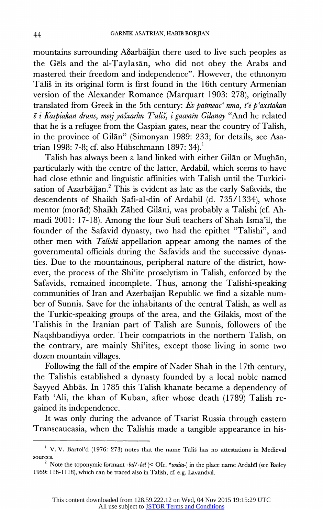**mountains surrounding A6arbaijan there used to live such peoples as the Gels and the al-Taylasan, who did not obey the Arabs and mastered their freedom and independence". However, the ethnonym Talis in its original form is first found in the 16th century Armenian version of the Alexander Romance (Marquart 1903: 278), originally**  translated from Greek in the 5th century: Ev patmeac<sup>c</sup> nma, t'ē p'axstakan  $\bar{e}$  *i Kaspiakan druns, meri yašxarhn T'ališ, i gawarn Gilanay* "And he related **that he is a refugee from the Caspian gates, near the country of Talish, in the province of Gilan" (Simonyan 1989: 233; for details, see Asa**trian 1998: 7-8; cf. also Hübschmann 1897: 34).<sup>1</sup>

**Talish has always been a land linked with either Gilan or Mughan, particularly with the centre of the latter, Ardabil, which seems to have had close ethnic and linguistic affinities with Talish until the Turkicisation of Azarbaijan.2 This is evident as late as the early Safavids, the descendents of Shaikh Safi-al-din of Ardabil (d. 735/1334), whose mentor (morad) Shaikh Zahed Gilani, was probably a Talishi (cf. Ahmadi 2001: 17-18). Among the four Sufi teachers of Shah Isma'il, the founder of the Safavid dynasty, two had the epithet "Talishi", and other men with Talishi appellation appear among the names of the governmental officials during the Safavids and the successive dynasties. Due to the mountainous, peripheral nature of the district, however, the process of the Shi'ite proselytism in Talish, enforced by the Safavids, remained incomplete. Thus, among the Talishi-speaking communities of Iran and Azerbaijan Republic we find a sizable number of Sunnis. Save for the inhabitants of the central Talish, as well as the Turkic-speaking groups of the area, and the Gilakis, most of the Talishis in the Iranian part of Talish are Sunnis, followers of the Naqshbandiyya order. Their compatriots in the northern Talish, on the contrary, are mainly Shi'ites, except those living in some two dozen mountain villages.** 

**Following the fall of the empire of Nader Shah in the 17th century, the Talishis established a dynasty founded by a local noble named Sayyed Abbas. In 1785 this Talish khanate became a dependency of Fath 'Ali, the khan of Kuban, after whose death (1789) Talish regained its independence.** 

**It was only during the advance of Tsarist Russia through eastern Transcaucasia, when the Talishis made a tangible appearance in his-** 

**<sup>&#</sup>x27; V. V. Bartol'd (1976: 273) notes that the name Talis has no attestations in Medieval sources.** 

<sup>&</sup>lt;sup>2</sup> Note the toponymic formant -bil/-bel  $(<$  OIr. *\*waita*-) in the place name Ardabil (see Bailey **1959: 116-1118), which can be traced also in Talish, cf. e.g. Lavandvil.**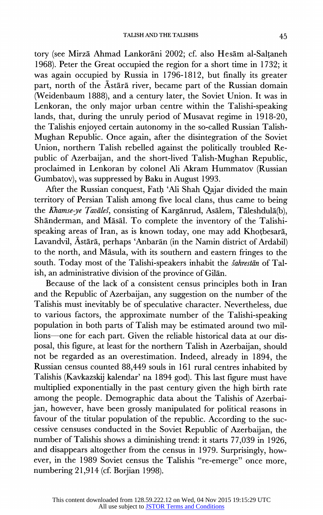**tory (see Mirza Ahmad Lankorani 2002; cf. also Hesam al-Saltaneh 1968). Peter the Great occupied the region for a short time in 1732; it was again occupied by Russia in 1796-1812, but finally its greater part, north of the Astara river, became part of the Russian domain (Weidenbaum 1888), and a century later, the Soviet Union. It was in Lenkoran, the only major urban centre within the Talishi-speaking lands, that, during the unruly period of Musavat regime in 1918-20, the Talishis enjoyed certain autonomy in the so-called Russian Talish-Mughan Republic. Once again, after the disintegration of the Soviet Union, northern Talish rebelled against the politically troubled Republic of Azerbaijan, and the short-lived Talish-Mughan Republic, proclaimed in Lenkoran by colonel Ali Akram Hummatov (Russian Gumbatov), was suppressed by Baku in August 1993.** 

**After the Russian conquest, Fath 'Ali Shah Qajar divided the main territory of Persian Talish among five local clans, thus came to being**  the *Khamse-ye Tavāleš*, consisting of Kargānrud, Asālem, Tāleshdulā(b), Shānderman, and Māsāl. To complete the inventory of the Talishi**speaking areas of Iran, as is known today, one may add Khotbesara, Lavandvil, Astara, perhaps 'Anbaran (in the Namin district of Ardabil) to the north, and Masula, with its southern and eastern fringes to the**  south. Today most of the Talishi-speakers inhabit the **šahrestan** of Tal**ish, an administrative division of the province of Gilan.** 

**Because of the lack of a consistent census principles both in Iran and the Republic of Azerbaijan, any suggestion on the number of the Talishis must inevitably be of speculative character. Nevertheless, due to various factors, the approximate number of the Talishi-speaking population in both parts of Talish may be estimated around two mil**lions-one for each part. Given the reliable historical data at our dis**posal, this figure, at least for the northern Talish in Azerbaijan, should not be regarded as an overestimation. Indeed, already in 1894, the Russian census counted 88,449 souls in 161 rural centres inhabited by Talishis (Kavkazskij kalendar' na 1894 god). This last figure must have multiplied exponentially in the past century given the high birth rate among the people. Demographic data about the Talishis of Azerbaijan, however, have been grossly manipulated for political reasons in favour of the titular population of the republic. According to the successive censuses conducted in the Soviet Republic of Azerbaijan, the number of Talishis shows a diminishing trend: it starts 77,039 in 1926, and disappears altogether from the census in 1979. Surprisingly, however, in the 1989 Soviet census the Talishis "re-emerge" once more, numbering 21,914 (cf. Borjian 1998).**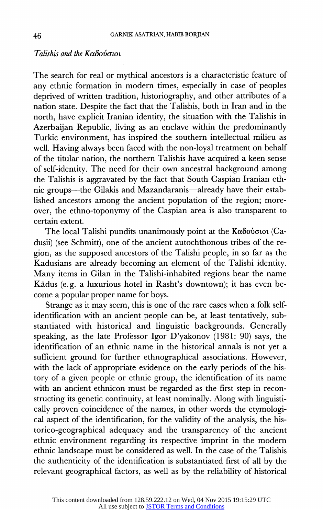# **Talishis and the Ka3ovinoi**

**The search for real or mythical ancestors is a characteristic feature of any ethnic formation in modern times, especially in case of peoples deprived of written tradition, historiography, and other attributes of a nation state. Despite the fact that the Talishis, both in Iran and in the north, have explicit Iranian identity, the situation with the Talishis in Azerbaijan Republic, living as an enclave within the predominantly Turkic environment, has inspired the southern intellectual milieu as well. Having always been faced with the non-loyal treatment on behalf of the titular nation, the northern Talishis have acquired a keen sense of self-identity. The need for their own ancestral background among the Talishis is aggravated by the fact that South Caspian Iranian eth**nic groups—the Gilakis and Mazandaranis—already have their estab**lished ancestors among the ancient population of the region; moreover, the ethno-toponymy of the Caspian area is also transparent to certain extent.** 

The local Talishi pundits unanimously point at the Καδούσιοι (Ca**dusii) (see Schmitt), one of the ancient autochthonous tribes of the region, as the supposed ancestors of the Talishi people, in so far as the Kadusians are already becoming an element of the Talishi identity. Many items in Gilan in the Talishi-inhabited regions bear the name Kadus (e.g. a luxurious hotel in Rasht's downtown); it has even become a popular proper name for boys.** 

**Strange as it may seem, this is one of the rare cases when a folk selfidentification with an ancient people can be, at least tentatively, substantiated with historical and linguistic backgrounds. Generally speaking, as the late Professor Igor D'yakonov (1981: 90) says, the identification of an ethnic name in the historical annals is not yet a sufficient ground for further ethnographical associations. However, with the lack of appropriate evidence on the early periods of the history of a given people or ethnic group, the identification of its name with an ancient ethnicon must be regarded as the first step in reconstructing its genetic continuity, at least nominally. Along with linguistically proven coincidence of the names, in other words the etymological aspect of the identification, for the validity of the analysis, the historico-geographical adequacy and the transparency of the ancient ethnic environment regarding its respective imprint in the modern ethnic landscape must be considered as well. In the case of the Talishis the authenticity of the identification is substantiated first of all by the relevant geographical factors, as well as by the reliability of historical**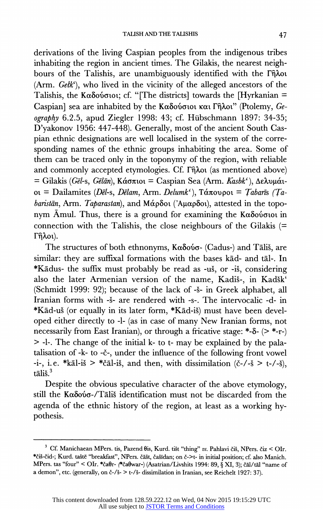**derivations of the living Caspian peoples from the indigenous tribes inhabiting the region in ancient times. The Gilakis, the nearest neigh**bours of the Talishis, are unambiguously identified with the  $\Gamma \hat{n} \lambda o \iota$ **(Arm. Gelk'), who lived in the vicinity of the alleged ancestors of the**  Talishis, the Καδούσιοι; cf. "[The districts] towards the [Hyrkanian = Caspian] sea are inhabited by the Καδούσιοι και Γῆλοι" (Ptolemy, Ge**ography 6.2.5, apud Ziegler 1998: 43; cf. Hubschmann 1897: 34-35; D'yakonov 1956: 447-448). Generally, most of the ancient South Caspian ethnic designations are well localised in the system of the corresponding names of the ethnic groups inhabiting the area. Some of them can be traced only in the toponymy of the region, with reliable**  and commonly accepted etymologies. Cf.  $\Gamma \hat{n} \lambda o \iota$  (as mentioned above)  $=$  Gilakis (Gēl-s, Gēlān), **Κάσπιοι** = Caspian Sea (Arm. *Kasbk'*), Δελυμάιoι = Dailamites (Dēl-s, Dēlam, Arm. Delumk<sup>c</sup>), Τάπουροι = *Tabarīs* (Tabaristān, Arm. Taparastan), and Μάρδοι ('Αμαρδοι), attested in the topo**nym Āmul. Thus, there is a ground for examining the Καδούσιοι in** connection with the Talishis, the close neighbours of the Gilakis  $(=$ Fηλοι).

The structures of both ethnonyms, Καδούσ- (Cadus-) and Tāliš, are **similar: they are suffixal formations with the bases kad- and tal-. In \*Kadus- the suffix must probably be read as -us, or -is, considering also the later Armenian version of the name, Kadis-, in Kadsk' (Schmidt 1999: 92); because of the lack of -s- in Greek alphabet, all Iranian forms with -s- are rendered with -s-. The intervocalic -d- in**  \*Kād-uš (or equally in its later form, \*Kād-iš) must have been devel**oped either directly to -1- (as in case of many New Iranian forms, not necessarily from East Iranian), or through a fricative stage: \*-8- (> \*-r-) > -1-. The change of the initial k- to t- may be explained by the pala**talisation of -k- to -č-, under the influence of the following front vowel  $-i$ -, **i.e.** \*kal-iš > \*čal-iš, and then, with dissimilation  $(\check{c}$ -/-š > t-/-š), **talis.3** 

**Despite the obvious speculative character of the above etymology, still the Καδούσ-/Tāliš identification must not be discarded from the agenda of the ethnic history of the region, at least as a working hypothesis.** 

 $3$  Cf. Manichaean MPers. tis, Pazend  $\theta$ is, Kurd. tišt "thing" vs. Pahlavi čiš, NPers. čiz < OIr. **\*cis-cid-; Kurd. taste "breakfast", NPers. cast, 6a' dan; on c->t- in initial position; cf. also Manich.**  MPers. tas "four" < OIr. \*ča $\theta$ r- *(*\*ča $\theta$ war-) (Asatrian/Livshits 1994: 89, § XI, 3); čāl/tāl "name of a demon", etc. (generally, on č-/š- > t-/š- dissimilation in Iranian, see Reichelt 1927: 37).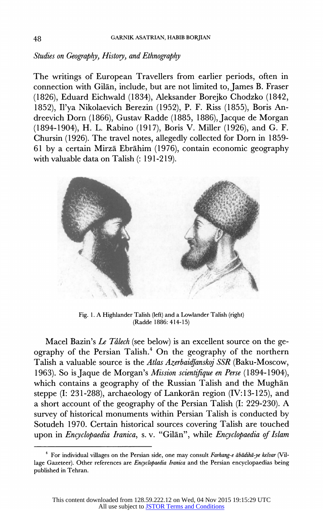### **Studies on Geography, History, and Ethnography**

**The writings of European Travellers from earlier periods, often in connection with Gilan, include, but are not limited to, James B. Fraser (1826), Eduard Eichwald (1834), Aleksander Borejko Chodzko (1842, 1852), Il'ya Nikolaevich Berezin (1952), P. F. Riss (1855), Boris Andreevich Dorn (1866), Gustav Radde (1885, 1886),Jacque de Morgan (1894-1904), H. L. Rabino (1917), Boris V. Miller (1926), and G. F. Chursin (1926). The travel notes, allegedly collected for Dorn in 1859- 61 by a certain Mirza Ebrahim (1976), contain economic geography with valuable data on Talish (:191-219).** 



**Fig. 1. A Highlander Talish (left) and a Lowlander Talish (right) (Radde 1886: 414-15)** 

Macel Bazin's *Le Tâlech* (see below) is an excellent source on the ge**ography of the Persian Talish.4 On the geography of the northern Talish a valuable source is the Atlas Azerbaidjanskoj SSR (Baku-Moscow, 1963). So is Jaque de Morgan's Mission scientifique en Perse (1894-1904), which contains a geography of the Russian Talish and the Mughan**  steppe (I: 231-288), archaeology of Lankoran region (IV:13-125), and **a short account of the geography of the Persian Talish (I: 229-230). A survey of historical monuments within Persian Talish is conducted by Sotudeh 1970. Certain historical sources covering Talish are touched upon in Encyclopaedia Iranica, s. v. "Gilan", while Encyclopaedia of Islam** 

<sup>&</sup>lt;sup>4</sup> For individual villages on the Persian side, one may consult *Farhang-e ābādihā-ye kešvar* (Vil**lage Gazeteer). Other references are Encyclopaedia Iranica and the Persian encyclopaedias being published in Tehran.**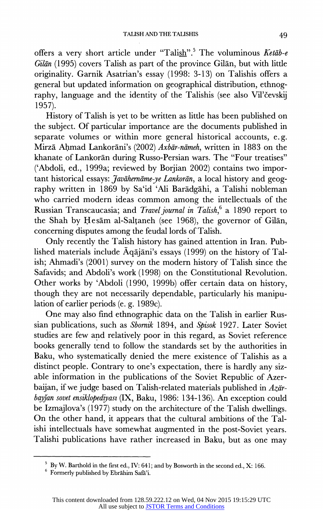offers a very short article under "Talish".<sup>5</sup> The voluminous Ketab-e Gilān (1995) covers Talish as part of the province Gilān, but with little **originality. Garnik Asatrian's essay (1998: 3-13) on Talishis offers a general but updated information on geographical distribution, ethnography, language and the identity of the Talishis (see also Vil'cevskij 1957).** 

**History of Talish is yet to be written as little has been published on the subject. Of particular importance are the documents published in separate volumes or within more general historical accounts, e.g.**  Mirzā Ahmad Lankorāni's (2002) Axbār-nāmeh, written in 1883 on the **khanate of Lankoran during Russo-Persian wars. The "Four treatises" ('Abdoli, ed., 1999a; reviewed by Borjian 2002) contains two impor**tant historical essays: *Javāhernāme-ye Lankorān*, a local history and geog**raphy written in 1869 by Sa'id 'Ali Baradgahi, a Talishi nobleman who carried modern ideas common among the intellectuals of the Russian Transcaucasia; and Traveljournal in Talish, a 1890 report to the Shah by iHesam al-Saltaneh (see 1968), the governor of Gilan, concerning disputes among the feudal lords of Talish.** 

**Only recently the Talish history has gained attention in Iran. Published materials include Aqajani's essays (1999) on the history of Talish; Ahmadi's (2001) survey on the modern history of Talish since the Safavids; and Abdoli's work (1998) on the Constitutional Revolution. Other works by 'Abdoli (1990, 1999b) offer certain data on history, though they are not necessarily dependable, particularly his manipulation of earlier periods (e. g. 1989c).** 

**One may also find ethnographic data on the Talish in earlier Russian publications, such as Sbornik 1894, and Spisok 1927. Later Soviet studies are few and relatively poor in this regard, as Soviet reference books generally tend to follow the standards set by the authorities in Baku, who systematically denied the mere existence of Talishis as a distinct people. Contrary to one's expectation, there is hardly any sizable information in the publications of the Soviet Republic of Azer**baijan, if we judge based on Talish-related materials published in Azär**bayj'an sovet ensiklopediyasa (IX, Baku, 1986: 134-136). An exception could be Izmajlova's (1977) study on the architecture of the Talish dwellings. On the other hand, it appears that the cultural ambitions of the Talishi intellectuals have somewhat augmented in the post-Soviet years. Talishi publications have rather increased in Baku, but as one may** 

**<sup>5</sup>By W. Barthold in the first ed., IV: 641; and by Bosworth in the second ed., X: 166.** 

**<sup>6</sup>Formerly published by Ebrahim Safa'i.**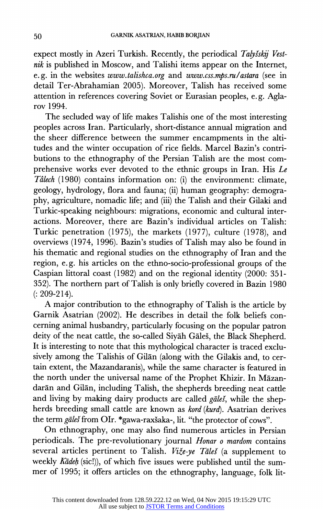expect mostly in Azeri Turkish. Recently, the periodical Talyšskij Vest**nik is published in Moscow, and Talishi items appear on the Internet, e. g. in the websites www.talishca.org and www.css.mps.ru/astara (see in detail Ter-Abrahamian 2005). Moreover, Talish has received some attention in references covering Soviet or Eurasian peoples, e. g. Aglarov 1994.** 

**The secluded way of life makes Talishis one of the most interesting peoples across Iran. Particularly, short-distance annual migration and the sheer difference between the summer encampments in the altitudes and the winter occupation of rice fields. Marcel Bazin's contributions to the ethnography of the Persian Talish are the most comprehensive works ever devoted to the ethnic groups in Iran. His Le Tdlech (1980) contains information on: (i) the environment: climate, geology, hydrology, flora and fauna; (ii) human geography: demography, agriculture, nomadic life; and (iii) the Talish and their Gilaki and Turkic-speaking neighbours: migrations, economic and cultural interactions. Moreover, there are Bazin's individual articles on Talish: Turkic penetration (1975), the markets (1977), culture (1978), and overviews (1974, 1996). Bazin's studies of Talish may also be found in his thematic and regional studies on the ethnography of Iran and the region, e.g. his articles on the ethno-socio-professional groups of the Caspian littoral coast (1982) and on the regional identity (2000: 351- 352). The northern part of Talish is only briefly covered in Bazin 1980 (:209-214).** 

**A major contribution to the ethnography of Talish is the article by Garnik Asatrian (2002). He describes in detail the folk beliefs concerning animal husbandry, particularly focusing on the popular patron deity of the neat cattle, the so-called Siyah Gales, the Black Shepherd. It is interesting to note that this mythological character is traced exclusively among the Talishis of Gilan (along with the Gilakis and, to certain extent, the Mazandaranis), while the same character is featured in the north under the universal name of the Prophet Khizir. In Mazandaran and Gilan, including Talish, the shepherds breeding neat cattle**  and living by making dairy products are called gales, while the shep**herds breeding small cattle are known as kord (kurd). Asatrian derives**  the term gāleš from OIr. \*gawa-raxšaka-, lit. "the protector of cows".

**On ethnography, one may also find numerous articles in Persian periodicals. The pre-revolutionary journal Honar o mardom contains several articles pertinent to Talish. Vize-ye Tales (a supplement to**  weekly Kadeh (sic!)), of which five issues were published until the sum**mer of 1995; it offers articles on the ethnography, language, folk lit-**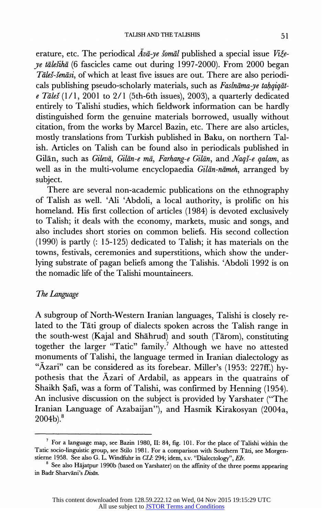erature, etc. The periodical  $\overline{Av}$ <sup>*a*-ye šomal</sup> published a special issue Viže**ye tdlesihd (6 fascicles came out during 1997-2000). From 2000 began**  Tāleš-šenāsi, of which at least five issues are out. There are also periodicals publishing pseudo-scholarly materials, such as *Faslnāma-ye tahqiqāt***e Tdles (1/ 1, 2001 to 2/1 (5th-6th issues), 2003), a quarterly dedicated entirely to Talishi studies, which fieldwork information can be hardly distinguished form the genuine materials borrowed, usually without citation, from the works by Marcel Bazin, etc. There are also articles, mostly translations from Turkish published in Baku, on northern Talish. Articles on Talish can be found also in periodicals published in**  Gilān, such as Gilevā, Gilān-e mā, Farhang-e Gilān, and Naqš-e galam, as well as in the multi-volume encyclopaedia Gilān-nāmeh, arranged by **subject.** 

**There are several non-academic publications on the ethnography of Talish as well. 'Ali 'Abdoli, a local authority, is prolific on his homeland. His first collection of articles (1984) is devoted exclusively to Talish; it deals with the economy, markets, music and songs, and also includes short stories on common beliefs. His second collection (1990) is partly (: 15-125) dedicated to Talish; it has materials on the towns, festivals, ceremonies and superstitions, which show the underlying substrate of pagan beliefs among the Talishis. 'Abdoli 1992 is on the nomadic life of the Talishi mountaineers.** 

# **7he Language**

**A subgroup of North-Western Iranian languages, Talishi is closely related to the Tati group of dialects spoken across the Talish range in the south-west (Kajal and Shahrud) and south (Tarom), constituting**  together the larger "Tatic" family.<sup>7</sup> Although we have no attested **monuments of Talishi, the language termed in Iranian dialectology as "Azari" can be considered as its forebear. Miller's (1953: 227ff.) hypothesis that the Azari of Ardabil, as appears in the quatrains of Shaikh Safi, was a form of Talishi, was confirmed by Henning (1954). An inclusive discussion on the subject is provided by Yarshater ("The Iranian Language of Azabaijan"), and Hasmik Kirakosyan (2004a, 2004b).8** 

**<sup>7</sup> For a language map, see Bazin 1980, II: 84, fig. 101. For the place of Talishi within the Tatic socio-linguistic group, see Stilo 1981. For a comparison with Southern Tati, see Morgenstierne 1958. See also G. L. Windfuhr in CLI 294; idem, s.v. "Dialectology", EIr.** 

**<sup>8</sup>See also Hajatpur l990b (based on Yarshater) on the affinity of the three poems appearing**  in Badr Sharvāni's Divān.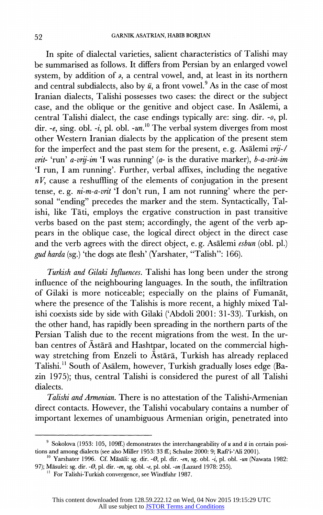**In spite of dialectal varieties, salient characteristics of Talishi may be summarised as follows. It differs from Persian by an enlarged vowel**  system, by addition of  $a$ , a central vowel, and, at least in its northern and central subdialects, also by  $\ddot{u}$ , a front vowel.<sup>9</sup> As in the case of most **Iranian dialects, Talishi possesses two cases: the direct or the subject case, and the oblique or the genitive and object case. In Asalemi, a**  central Talishi dialect, the case endings typically are: sing. dir. -0, pl. **dir. -e, sing. obl. -i, pl. obl. -un.'0 The verbal system diverges from most other Western Iranian dialects by the application of the present stem for the imperfect and the past stem for the present, e. g. Asalemi vrij-/ vrit- 'run' a-vrij-im 'I was running' (a- is the durative marker), b-a-vrit-im 'I run, I am running'. Further, verbal affixes, including the negative nV, cause a reshuffling of the elements of conjugation in the present tense, e. g. ni-m-a-vrit 'I don't run, I am not running' where the personal "ending" precedes the marker and the stem. Syntactically, Talishi, like Tati, employs the ergative construction in past transitive verbs based on the past stem; accordingly, the agent of the verb appears in the oblique case, the logical direct object in the direct case and the verb agrees with the direct object, e. g. Asalemi esbun (obl. pl.) gud harda (sg.) 'the dogs ate flesh' (Yarshater, "Talish": 166).** 

**Turkish and Gilaki Influences. Talishi has long been under the strong influence of the neighbouring languages. In the south, the infiltration of Gilaki is more noticeable; especially on the plains of Fumanat, where the presence of the Talishis is more recent, a highly mixed Talishi coexists side by side with Gilaki ('Abdoli 2001: 31-33). Turkish, on the other hand, has rapidly been spreading in the northern parts of the Persian Talish due to the recent migrations from the west. In the urban centres of Astara and Hashtpar, located on the commercial highway stretching from Enzeli to Astara, Turkish has already replaced Talishi. " South of Asalem, however, Turkish gradually loses edge (Bazin 1975); thus, central Talishi is considered the purest of all Talishi dialects.** 

**Talishi and Arnenian. There is no attestation of the Talishi-Armenian direct contacts. However, the Talishi vocabulary contains a number of important lexemes of unambiguous Armenian origin, penetrated into** 

<sup>&</sup>lt;sup>9</sup> Sokolova (1953: 105, 109ff.) demonstrates the interchangeability of *u* and *ü* in certain posi**tions and among dialects (see also Miller 1953: 33 ff.; Schulze 2000: 9; Rafi'i-'Ali 2001).** 

<sup>&</sup>lt;sup>10</sup> Yarshater 1996. Cf. Māsāli: sg. dir. -Ø, pl. dir. -en, sg. obl. -i, pl. obl. -un (Nawata 1982: **97); Masulei: sg. dir. -0, pl. dir. -en, sg. obl. -e, pl. obl. -on (Lazard 1978: 255). " For Talishi-Turkish convergence, see Windfuhr 1987.**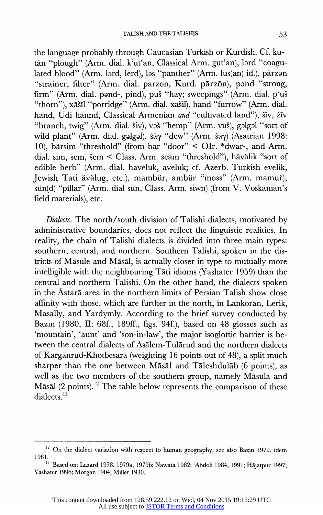**the language probably through Caucasian Turkish or Kurdish. Cf. ku**tān "plough" (Arm. dial. k'ut'an, Classical Arm. gut'an), lərd "coagulated blood" (Arm. l**ard, lerd), las "panther" (Arm. lus(an) id.)**, pārzan "strainer, filter" (Arm. dial. parzon, Kurd. pārzōn), p**and "strong**, **firm" (Arm. dial. pand-, pind), pus "hay; sweepings" (Arm. dial. p'us**  "thorn"), xāšīl "porridge" (Arm. dial. xašil), hand "furrow" (Arm. dial. hand, Udi hännd, Classical Armenian and "cultivated land"), šīv, žīv **"branch, twig" (Arm. dial. siv), vas "hemp" (Arm. vus), galgal "sort of**  wild plant" (Arm. dial. gəlgəl), šāy "dew" (Arm. šay) (Asatrian 1998: **10), barsim "threshold" (from bar "door" < OIr. \*dwar-, and Arm. dial. sim, sem, sem < Class. Arm. seam "threshold"), havalik "sort of edible herb" (Arm. dial. haveluk, aveluk; cf. Azerb. Turkish evelik, Jewish Tati avalug, etc.), mambiir, ambur "moss" (Arm. mamur), suin(d) "pillar" (Arm. dial sun, Class. Arm. siwn) (from V. Voskanian's field materials), etc.** 

**Dialects. The north/south division of Talishi dialects, motivated by administrative boundaries, does not reflect the linguistic realities. In reality, the chain of Talishi dialects is divided into three main types: southern, central, and northern. Southern Talishi, spoken in the districts of Masule and Masal, is actually closer in type to mutually more intelligible with the neighbouring Tati idioms (Yashater 1959) than the central and northern Talishi. On the other hand, the dialects spoken in the Astara area in the northern limits of Persian Talish show close**  affinity with those, which are further in the north, in Lankoran, Lerik, **Masally, and Yardymly. According to the brief survey conducted by Bazin (1980, II: 68f., 189ff., figs. 94f.), based on 48 glosses such as 'mountain', 'aunt' and 'son-in-law', the major isoglottic barrier is between the central dialects of Asalem-Tularud and the northern dialects of Karganrud-Khotbesara (weighting 16 points out of 48), a split much sharper than the one between Masal and Taleshdulab (6 points), as**  well as the two members of the southern group, namely Masula and **Masal (2 points).'2 The table below represents the comparison of these dialects. 13** 

**<sup>12</sup>On the dialect variation with respect to human geography, see also Bazin 1979, idem 1981.** 

**<sup>13</sup>Based on: Lazard 1978, 1979a, 1979b; Nawata 1982; 'Abdoli 1984, 1991; Hajatpur 1997; Yashater 1996; Morgan 1904; Miller 1930.**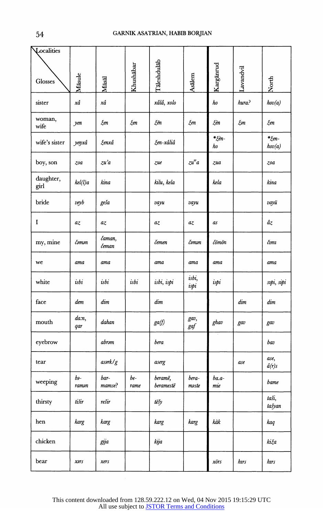| Localities        |                 |                 |               |                      |                   |                               |           |                          |
|-------------------|-----------------|-----------------|---------------|----------------------|-------------------|-------------------------------|-----------|--------------------------|
| <b>Glosses</b>    | Māsule          | Māsāl           | Khushābar     | Taleshdulab          | Asālem            | Kargānrud                     | Lavandvil | North                    |
| sister            | xâ              | xâ              |               | xâlâ, xolo           |                   | ho                            | hura?     | hov(a)                   |
| woman,<br>wife    | yen             | žen             | žen           | žēn                  | žen               | žèn                           | žən       | žen                      |
| wife's sister     | yeŋxâ           | ženxâ           |               | žen-xâliâ            |                   | $*_{\hat{z}}\hat{e}n$ -<br>ho |           | $*_{\zeta en}$<br>hov(a) |
| boy, son          | zoa             | zu'a            |               | zue                  | zu <sup>w</sup> a | zua                           |           | zoa                      |
| daughter,<br>girl | kel(l)a         | kina            |               | kilu, kela           |                   | kela                          |           | kina                     |
| bride             | veyb            | geša            |               | vayu                 | vayu              |                               |           | vayü                     |
| I                 | az              | az              |               | az                   | az                | as                            |           | âz                       |
| my, mine          | čəmən           | čaman,<br>čeman |               | čemen                | čəmən             | čömön                         |           | čımı                     |
| we                | ama             | ama             |               | ama                  | ama               | $a$ ma                        |           | ama                      |
| white             | isbi            | isbi            | isbi          | isbi, ispi           | isbi,<br>ispi     | ispi                          |           | sipi, sipi               |
| face              | dem             | dim             |               | dim                  |                   |                               | dim       | dim                      |
| mouth             | da.n,<br>qar    | dahan           |               | ga(f)                | gav,<br>gaf       | ghav                          | gav       | gav                      |
| eyebrow           |                 | abrəm           |               | bera                 |                   |                               |           | bav                      |
| tear              |                 | $as$ r $k/g$    |               | aserg                |                   |                               | ase       | ase,<br>$\hat{a}(r)s$    |
| weeping           | $b$ ə-<br>ramən | bar-<br>mamse?  | $be-$<br>rame | beramē,<br>beramestē | bera-<br>məste    | ba.a-<br>mie                  |           | bame                     |
| thirsty           | tišir           | rešir           |               | tēšy                 |                   |                               |           | taši,<br>tašyan          |
| hen               | karg            | karg            |               | karg                 | karg              | kàk                           |           | kag                      |
| chicken           |                 | gija            |               | kija                 |                   |                               |           | kiža                     |
| bear              | xərs            | xers            |               |                      |                   | xörs                          | hırs      | htrs                     |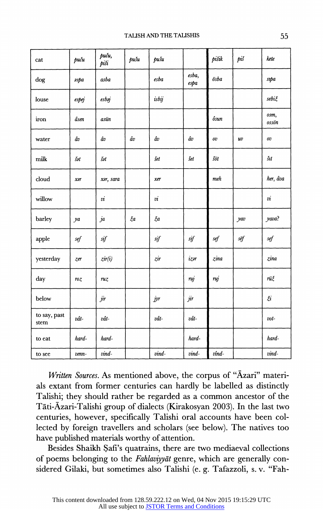| cat                  | puču    | puču,<br>piši    | pušu | pušu        |               | pišik               | piš | kete          |
|----------------------|---------|------------------|------|-------------|---------------|---------------------|-----|---------------|
| dog                  | əspa    | asba             |      | esba        | esba,<br>espa | ösba                |     | sipa          |
| louse                | espej   | esbaj            |      | isbij       |               |                     |     | sebiž         |
| iron                 | âsen    | asün             |      |             |               | ôsun                |     | osm,<br>ossön |
| water                | âv      | âv               | âv   | âv          | âv            | $\pmb{v}$           | uv  | $ov$          |
| milk                 | šət     | šət              |      | šet         | šet           | šöt                 |     | šıt           |
| cloud                | $x$ ər  | xar, sara        |      | xer         |               | meh                 |     | her, âva      |
| willow               |         | $\dot{v}$        |      | $\dot{u}$   |               |                     |     | $\dot{v}$     |
| barley               | ya      | ja               | ža   | ža          |               |                     | yav | yava?         |
| apple                | sef     | $\it{sf}$        |      | sif         | sif           | sef                 | sēf | sef           |
| yesterday            | zer     | zir(i)           |      | zir         | izər          | zina                |     | zina          |
| day                  | roz     | $\mathfrak{m}$ z |      |             | $\eta$        | ruj                 |     | rüž           |
| below                |         | jir              |      | $\dot{p}$ r | jir           |                     |     | ži            |
| to say, past<br>stem | vât-    | $v\hat{a}t$ -    |      | vât-        | $v\hat{a}t$ - |                     |     | $vot -$       |
| to eat               | hard-   | hard-            |      |             | hard-         |                     |     | hard-         |
| to see               | $venn-$ | $vind-$          |      | $vind-$     | $vind-$       | $v\hat{\imath}nd$ - |     | $vind-$       |

**Written Sources. As mentioned above, the corpus of "Azari" materials extant from former centuries can hardly be labelled as distinctly Talishi; they should rather be regarded as a common ancestor of the Tati-Azari-Talishi group of dialects (Kirakosyan 2003). In the last two centuries, however, specifically Talishi oral accounts have been collected by foreign travellers and scholars (see below). The natives too have published materials worthy of attention.** 

**Besides Shaikh Safi's quatrains, there are two mediaeval collections**  of poems belonging to the *Fahlaviyyat* genre, which are generally con**sidered Gilaki, but sometimes also Talishi (e. g. Tafazzoli, s. v. "Fah-**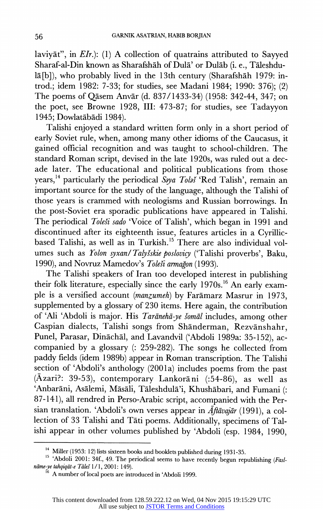**laviyat", in FIr.): (1) A collection of quatrains attributed to Sayyed Sharaf-al-Din known as Sharafshah of Dula' or Dulab (i. e., Taleshdula[b]), who probably lived in the 13th century (Sharafshah 1979: introd.; idem 1982: 7-33; for studies, see Madani 1984; 1990: 376); (2) The poems of Qasem Anvar (d. 837/1433-34) (1958: 342-44, 347; on the poet, see Browne 1928, III: 473-87; for studies, see Tadayyon 1945; Dowlatabadi 1984).** 

**Talishi enjoyed a standard written form only in a short period of early Soviet rule, when, among many other idioms of the Caucasus, it gained official recognition and was taught to school-children. The standard Roman script, devised in the late 1920s, was ruled out a decade later. The educational and political publications from those years**,<sup>14</sup> particularly the periodical Soya Tolos 'Red Talish', remain an **important source for the study of the language, although the Talishi of those years is crammed with neologisms and Russian borrowings. In the post-Soviet era sporadic publications have appeared in Talishi.**  The periodical *Toleši sado* 'Voice of Talish', which began in 1991 and **discontinued after its eighteenth issue, features articles in a Cyrillicbased Talishi, as well as in Turkish.'5 There are also individual vol**umes such as *Yolon syxan/Talyšskie poslovicy* ('Talishi proverbs', Baku, 1990), and Novruz Mamedov's Tolesi armağon (1993).

**The Talishi speakers of Iran too developed interest in publishing their folk literature, especially since the early 1970s. 16 An early example is a versified account (manzumeh) by Faramarz Masrur in 1973, supplemented by a glossary of 230 items. Here again, the contribution**  of 'Ali 'Abdoli is major. His Tarānehā-ye šomāl includes, among other **Caspian dialects, Talishi songs from Shanderman, Rezvanshahr,**  Punel, Parasar, Dināchāl, and Lavandvil ('Abdoli 1989a: 35-152), ac**companied by a glossary (: 259-282). The songs he collected from paddy fields (idem 1989b) appear in Roman transcription. The Talishi section of 'Abdoli's anthology (2001a) includes poems from the past (Azari?: 39-53), contemporary Lankorani (:54-86), as well as 'Anbarani, Asalemi, Masali, Taleshdula'i, Khushabari, and Fumani (: 87-141), all rendred in Perso-Arabic script, accompanied with the Per**sian translation. 'Abdoli's own verses appear in  $\tilde{A}f\tilde{a}v$ *ajār* (1991), a col**lection of 33 Talishi and Tati poems. Additionally, specimens of Talishi appear in other volumes published by 'Abdoli (esp. 1984, 1990,** 

**<sup>14</sup>Miller (1953: 12) lists sixteen books and booklets published during 1931-35.** 

<sup>&</sup>lt;sup>15</sup> 'Abdoli 2001: 34f., 49. The periodical seems to have recently begun republishing (Fasl**ndme-ye tahqiqat-e Tdle& 1/1, 2001: 149).** 

**<sup>16</sup>A number of local poets are introduced in 'Abdoli 1999.**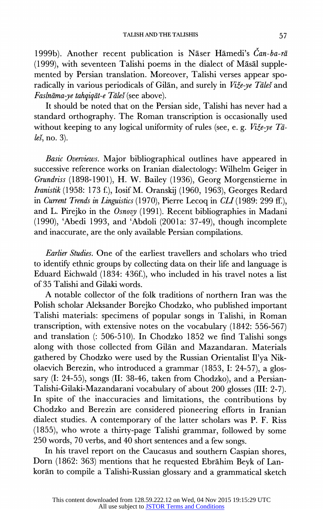1999b). Another recent publication is Nāser Hāmedi's Can-ba-rā **(1999), with seventeen Talishi poems in the dialect of Masal supple**mented by Persian translation. Moreover, Talishi verses appear sporadically in various periodicals of Gilan, and surely in Vize-ye Tales and Faslnāma-ye tahqiqāt-e Tāleš (see above).

**It should be noted that on the Persian side, Talishi has never had a standard orthography. The Roman transcription is occasionally used**  without keeping to any logical uniformity of rules (see, e. g. Vize-ye Tales, no. 3).

**Basic Overviews. Major bibliographical outlines have appeared in successive reference works on Iranian dialectology: Wilhelm Geiger in Grundriss (1898-1901), H. W. Bailey (1936), Georg Morgenstierne in Iranistik (1958: 173 f.), Josif M. Oranskij (1960, 1963), Georges Redard in Current Trends in Linguistics (1970), Pierre Lecoq in CLI (1989: 299 ff.), and L. Pirejko in the Osnovy (1991). Recent bibliographies in Madani (1990), 'Abedi 1993, and 'Abdoli (2001a: 37-49), though incomplete and inaccurate, are the only available Persian compilations.** 

**Earlier Studies. One of the earliest travellers and scholars who tried to identify ethnic groups by collecting data on their life and language is Eduard Eichwald (1834: 436f.), who included in his travel notes a list of 35 Talishi and Gilaki words.** 

**A notable collector of the folk traditions of northern Iran was the Polish scholar Aleksander Borejko Chodzko, who published important Talishi materials: specimens of popular songs in Talishi, in Roman transcription, with extensive notes on the vocabulary (1842: 556-567) and translation (: 506-510). In Chodzko 1852 we find Talishi songs along with those collected from Gilan and Mazandaran. Materials gathered by Chodzko were used by the Russian Orientalist Il'ya Nikolaevich Berezin, who introduced a grammar (1853, I: 24-57), a glossary (I: 24-55), songs (II: 38-46, taken from Chodzko), and a Persian-Talishi-Gilaki-Mazandarani vocabulary of about 200 glosses (III: 2-7). In spite of the inaccuracies and limitations, the contributions by Chodzko and Berezin are considered pioneering efforts in Iranian dialect studies. A contemporary of the latter scholars was P. F. Riss (1855), who wrote a thirty-page Talishi grammar, followed by some 250 words, 70 verbs, and 40 short sentences and a few songs.** 

**In his travel report on the Caucasus and southern Caspian shores, Dorn (1862: 363) mentions that he requested Ebrahim Beyk of Lankoran to compile a Talishi-Russian glossary and a grammatical sketch**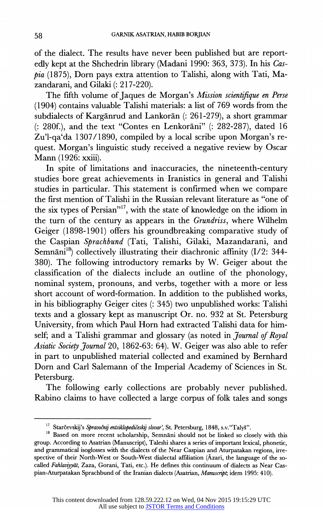**of the dialect. The results have never been published but are reportedly kept at the Shchedrin library (Madani 1990: 363, 373). In his Caspia (1875), Dorn pays extra attention to Talishi, along with Tati, Mazandarani, and Gilaki (: 217-220).** 

The fifth volume of Jaques de Morgan's *Mission scientifique en Perse* **(1904) contains valuable Talishi materials: a list of 769 words from the subdialects of Karganrud and Lankoran (: 261-279), a short grammar (: 280f.), and the text "Contes en Lenkorani" (: 282-287), dated 16 Zu'l-qa'da 1307/1890, compiled by a local scribe upon Morgan's request. Morgan's linguistic study received a negative review by Oscar Mann (1926: xxiii).** 

**In spite of limitations and inaccuracies, the nineteenth-century studies bore great achievements in Iranistics in general and Talishi studies in particular. This statement is confirmed when we compare the first mention of Talishi in the Russian relevant literature as "one of the six types of Persian"'7, with the state of knowledge on the idiom in the turn of the century as appears in the Grundriss, where Wilhelm Geiger (1898-1901) offers his groundbreaking comparative study of the Caspian Sprachbund (Tati, Talishi, Gilaki, Mazandarani, and**  Semnāni<sup>18</sup>) collectively illustrating their diachronic affinity (I/2: 344-**380). The following introductory remarks by W. Geiger about the classification of the dialects include an outline of the phonology, nominal system, pronouns, and verbs, together with a more or less short account of word-formation. In addition to the published works, in his bibliography Geiger cites (: 345) two unpublished works: Talishi texts and a glossary kept as manuscript Or. no. 932 at St. Petersburg University, from which Paul Horn had extracted Talishi data for him**self; and a Talishi grammar and glossary (as noted in *Journal of Royal* Asiatic Society Journal 20, 1862-63: 64). W. Geiger was also able to refer **in part to unpublished material collected and examined by Bernhard Dorn and Carl Salemann of the Imperial Academy of Sciences in St. Petersburg.** 

**The following early collections are probably never published. Rabino claims to have collected a large corpus of folk tales and songs** 

<sup>&</sup>lt;sup>17</sup> Starčevskij's Spravočnij entsiklopedičeskij slovar', St. Petersburg, 1848, s.v. "Talyš".

<sup>&</sup>lt;sup>18</sup> Based on more recent scholarship, Semnani should not be linked so closely with this **group. According to Asatrian (Manuscript), Taleshi shares a series of important lexical, phonetic, and grammatical isoglosses with the dialects of the Near Caspian and Aturpatakan regions, irre**spective of their North-West or South-West dialectal affiliation (Azari, the language of the so**called Fahlaviyydt, Zaza, Gorani, Tati, etc.). He defines this continuum of dialects as Near Caspian-Aturpatakan Sprachbund of the Iranian dialects (Asatrian, Manuscript, idem 1995: 410).**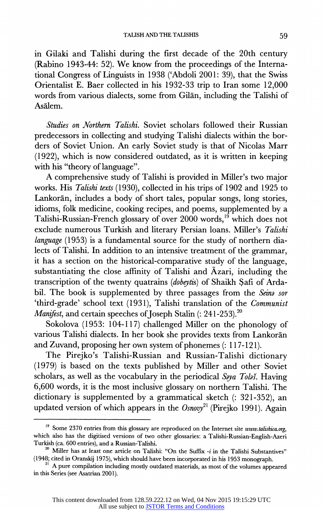**in Gilaki and Talishi during the first decade of the 20th century (Rabino 1943-44: 52). We know from the proceedings of the International Congress of Linguists in 1938 ('Abdoli 2001: 39), that the Swiss Orientalist E. Baer collected in his 1932-33 trip to Iran some 12,000 words from various dialects, some from Gilan, including the Talishi of Asalem.** 

**Studies on Northern Talishi. Soviet scholars followed their Russian predecessors in collecting and studying Talishi dialects within the borders of Soviet Union. An early Soviet study is that of Nicolas Marr (1922), which is now considered outdated, as it is written in keeping with his "theory of language".** 

**A comprehensive study of Talishi is provided in Miller's two major works. His Talishi texts (1930), collected in his trips of 1902 and 1925 to**  Lankorān, includes a body of short tales, popular songs, long stories, **idioms, folk medicine, cooking recipes, and poems, supplemented by a Talishi-Russian-French glossary of over 2000 words,19 which does not exclude numerous Turkish and literary Persian loans. Miller's Talishi language (1953) is a fundamental source for the study of northern dialects of Talishi. In addition to an intensive treatment of the grammar, it has a section on the historical-comparative study of the language, substantiating the close affinity of Talishi and Azari, including the**  transcription of the twenty quatrains (dobeytis) of Shaikh Şafi of Ardabil. The book is supplemented by three passages from the Seina sor **'third-grade' school text (1931), Talishi translation of the Communist**  *Manifest*, and certain speeches of Joseph Stalin (: 241-253).<sup>20</sup>

**Sokolova (1953: 104-117) challenged Miller on the phonology of various Talishi dialects. In her book she provides texts from Lankoran and Zuvand, proposing her own system of phonemes (: 1 7-121).** 

**The Pirejko's Talishi-Russian and Russian-Talishi dictionary (1979) is based on the texts published by Miller and other Soviet**  scholars, as well as the vocabulary in the periodical Soya Tolos. Having **6,600 words, it is the most inclusive glossary on northern Talishi. The dictionary is supplemented by a grammatical sketch (: 321-352), an**  updated version of which appears in the  $Osnovy^{21}$  (Pirejko 1991). Again

<sup>&</sup>lt;sup>19</sup> Some 2370 entries from this glossary are reproduced on the Internet site www.talishica.org, **which also has the digitised versions of two other glossaries: a Talishi-Russian-English-Azeri Turkish (ca. 600 entries), and a Russian-Talishi.** 

<sup>&</sup>lt;sup>20</sup> Miller has at least one article on Talishi: "On the Suffix -i in the Talishi Substantives" **(1948; cited in Oranskij 1975), which should have been incorporated in his 1953 monograph.** 

**<sup>21</sup>A pure compilation including mostly outdated materials, as most of the volumes appeared in this Series (see Asatrian 2001).**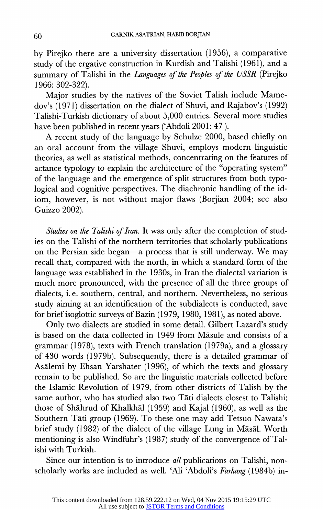**by Pirejko there are a university dissertation (1956), a comparative study of the ergative construction in Kurdish and Talishi (1961), and a summary of Talishi in the Languages of the Peoples of the USSR (Pirejko 1966: 302-322).** 

**Major studies by the natives of the Soviet Talish include Mamedov's (1971) dissertation on the dialect of Shuvi, and Rajabov's (1992) Talishi-Turkish dictionary of about 5,000 entries. Several more studies have been published in recent years ('Abdoli 2001: 47 ).** 

**A recent study of the language by Schulze 2000, based chiefly on an oral account from the village Shuvi, employs modern linguistic theories, as well as statistical methods, concentrating on the features of actance typology to explain the architecture of the "operating system" of the language and the emergence of split structures from both typological and cognitive perspectives. The diachronic handling of the idiom, however, is not without major flaws (Borjian 2004; see also Guizzo 2002).** 

**Studies on the Talishi of Iran. It was only after the completion of studies on the Talishi of the northern territories that scholarly publications**  on the Persian side began—a process that is still underway. We may **recall that, compared with the north, in which a standard form of the language was established in the 1930s, in Iran the dialectal variation is much more pronounced, with the presence of all the three groups of dialects, i. e. southern, central, and northern. Nevertheless, no serious study aiming at an identification of the subdialects is conducted, save for brief isoglottic surveys of Bazin (1979, 1980, 1981), as noted above.** 

**Only two dialects are studied in some detail. Gilbert Lazard's study is based on the data collected in 1949 from Masule and consists of a grammar (1978), texts with French translation (1979a), and a glossary of 430 words (1979b). Subsequently, there is a detailed grammar of Asalemi by Ehsan Yarshater (1996), of which the texts and glossary remain to be published. So are the linguistic materials collected before the Islamic Revolution of 1979, from other districts of Talish by the same author, who has studied also two Tati dialects closest to Talishi: those of Shahrud of Khalkhal (1959) and Kajal (1960), as well as the Southern Tati group (1969). To these one may add Tetsuo Nawata's brief study (1982) of the dialect of the village Lung in Masal. Worth mentioning is also Windfuhr's (1987) study of the convergence of Talishi with Turkish.** 

**Since our intention is to introduce all publications on Talishi, nonscholarly works are included as well. 'Ali 'Abdoli's Farhang (1984b) in-**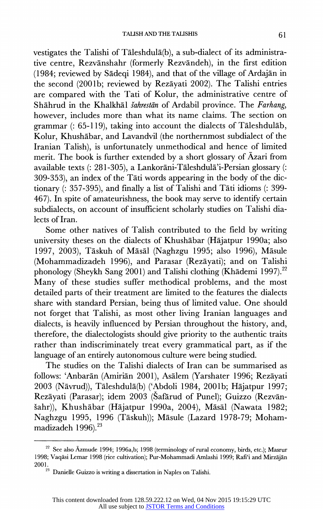**vestigates the Talishi of Taleshdula(b), a sub-dialect of its administra**tive centre, Rezvānshahr (formerly Rezvāndeh), in the first edition **(1984; reviewed by Sadeqi 1984), and that of the village of Ardajan in the second (2001b; reviewed by Rezayati 2002). The Talishi entries are compared with the Tati of Kolur, the administrative centre of Shahrud in the Khalkhal sahrestan of Ardabil province. The Farhang, however, includes more than what its name claims. The section on grammar (: 65-119), taking into account the dialects of Taleshdulab, Kolur, Khushabar, and Lavandvil (the northernmost subdialect of the Iranian Talish), is unfortunately unmethodical and hence of limited merit. The book is further extended by a short glossary of Azari from available texts (: 281-305), a Lankorani-Taleshdula'i-Persian glossary (: 309-353), an index of the Tati words appearing in the body of the dictionary (: 357-395), and finally a list of Talishi and Tati idioms (: 399- 467). In spite of amateurishness, the book may serve to identify certain subdialects, on account of insufficient scholarly studies on Talishi dialects of Iran.** 

**Some other natives of Talish contributed to the field by writing university theses on the dialects of Khushabar (Hajatpur 1990a; also 1997, 2003), Taskuh of Masal (Naghzgu 1995; also 1996), Masule (Mohammadizadeh 1996), and Parasar (Rezayati); and on Talishi phonology (Sheykh Sang 2001) and Talishi clothing (Khademi 1997).22 Many of these studies suffer methodical problems, and the most detailed parts of their treatment are limited to the features the dialects share with standard Persian, being thus of limited value. One should not forget that Talishi, as most other living Iranian languages and dialects, is heavily influenced by Persian throughout the history, and, therefore, the dialectologists should give priority to the authentic traits rather than indiscriminately treat every grammatical part, as if the language of an entirely autonomous culture were being studied.** 

**The studies on the Talishi dialects of Iran can be summarised as follows: 'Anbaran (Amirian 2001), Asalem (Yarshater 1996; Rezayati 2003 (Navrud)), Taleshdula(b) ('Abdoli 1984, 2001b; Hajatpur 1997; Rezayati (Parasar); idem 2003 (Safarud of Punel); Guizzo (Rezvansahr)), Khushabar (Hajatpur 1990a, 2004), Masal (Nawata 1982; Naghzgu 1995, 1996 (Taskuh)); Masule (Lazard 1978-79; Moham**madizadeh 1996).<sup>23</sup>

**<sup>22</sup>See also Azmude 1994; 1996a,b; 1998 (terminology of rural economy, birds, etc.); Masrur 1998; Vaqasi Lemar 1998 (rice cultivation); Pur-Mohammadi Amlashi 1999; Rafi'i and Mirzajan 2001.** 

**<sup>23</sup>Danielle Guizzo is writing a dissertation in Naples on Talishi.**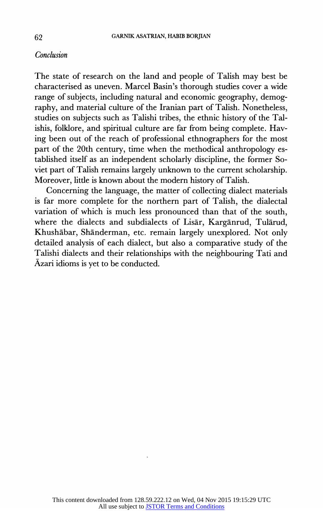# **Conclusion**

**The state of research on the land and people of Talish may best be characterised as uneven. Marcel Basin's thorough studies cover a wide range of subjects, including natural and economic geography, demography, and material culture of the Iranian part of Talish. Nonetheless, studies on subjects such as Talishi tribes, the ethnic history of the Talishis, folklore, and spiritual culture are far from being complete. Having been out of the reach of professional ethnographers for the most part of the 20th century, time when the methodical anthropology established itself as an independent scholarly discipline, the former Soviet part of Talish remains largely unknown to the current scholarship. Moreover, little is known about the modern history of Talish.** 

**Concerning the language, the matter of collecting dialect materials is far more complete for the northern part of Talish, the dialectal variation of which is much less pronounced than that of the south, where the dialects and subdialects of Lisar, Karganrud, Tularud, Khushabar, Shanderman, etc. remain largely unexplored. Not only detailed analysis of each dialect, but also a comparative study of the Talishi dialects and their relationships with the neighbouring Tati and Azari idioms is yet to be conducted.**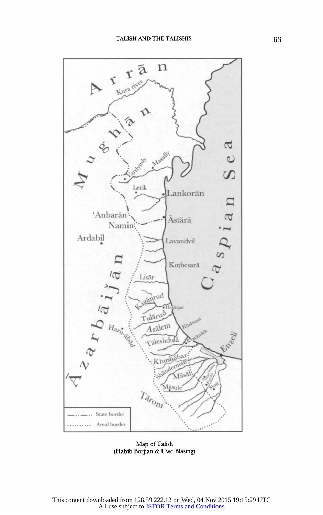

**Map of Talish (Habib Borjian & Uwe Blasing)**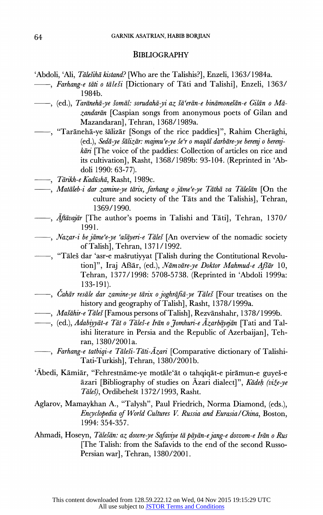#### **BIBLIOGRAPHY**

- 'Abdoli, 'Ali, Tālešihā kistand? [Who are the Talishis?], Enzeli, 1363/1984a.
- Farhang-e tāti o tāleši **[Dictionary of Tāti and Talishi]**, Enzeli, 1363/ **1984b.**
- (ed.), Tarānehā-ye šomāl: sorudahā-yi az šā'erān-e bināmonešān-e Gilān o Mā**zandaran [Caspian songs from anonymous poets of Gilan and Mazandaran], Tehran, 1368/1989a.**
- **"Taraneha-ye 'alizar [Songs of the rice paddies]", Rahim Cheraghi,**  (ed.), Sedā-ye šālizār: majmu'e-ye še'r o maqāl darbāre-ye berenj o berenjkari [The voice of the paddies: Collection of articles on rice and **its cultivation], Rasht, 1368/1989b: 93-104. (Reprinted in 'Abdoli 1990: 63-77).**
- **Tärikh-e Kadūshā, Rasht, 1989c.**
- —, Matāleb-i dar zamine-ye tārix, farhang o jāme<sup>s</sup>e-ye Tāthā va Tālešān [On the **culture and society of the Tats and the Talishis], Tehran, 1369/1990.**
- $-$ , *Āftāvajār* [The author's poems in Talishi and Tāti], Tehran, 1370/ **1991.**
- $-$ , *Nazar-i be jāme'e-ye 'ašāyeri-e Tāleš* [An overview of the nomadic society **of Talish], Tehran, 1371/1992.**
- **"Tales dar 'asr-e masrutiyyat [Talish during the Contitutional Revolu**tion]", Iraj Afšār, (ed.), Nāmvāre-ye Doktor Mahmud-e Afšār 10, **Tehran, 1377/1998: 5708-5738. (Reprinted in 'Abdoli 1999a: 133-191).**
- **Cahar resale dar zamine-ye tarix o joghrafia-ye Taleš [Four treatises on the history and geography of Talish], Rasht, 1378/1999a.**
- —, *Mašāhir-e Tāleš* [Famous persons of Talish], Rezvānshahr, 1378/1999b.
- <sup>-</sup>, (ed.), Adabiyyāt-e Tāt o Tāleš-e Irān o Jomhuri-e Āzarbāyejān [Tati and Tal**ishi literature in Persia and the Republic of Azerbaijan], Tehran, 1380/2001a.**
- $\longrightarrow$ , Farhang-e tatbiqi-e Tāleši-Tāti-Āzari [Comparative dictionary of Talishi-**Tati-Turkish], Tehran, 1380/2001 b.**
- **'Abedi, Kamiar, "Fehrestname-ye motale'at o tahqiqat-e piramun-e guyes-e**   $\bar{a}$ zari [Bibliography of studies on Azari dialect]", Kadeh (viže-ye **Tdle7), Ordibehest 1372/1993, Rasht.**
- **Aglarov, Mamaykhan A., "Talysh", Paul Friedrich, Norma Diamond, (eds.), Encyclopedia of World Cultures V. Russia and Eurasia/China, Boston, 1994: 354-357.**
- Ahmadi, Hoseyn, Tālešān: az dowre-ye Safaviye tā pāyān-e jang-e dovvom-e Irān o Rus **[The Talish: from the Safavids to the end of the second Russo-Persian war], Tehran, 1380/2001.**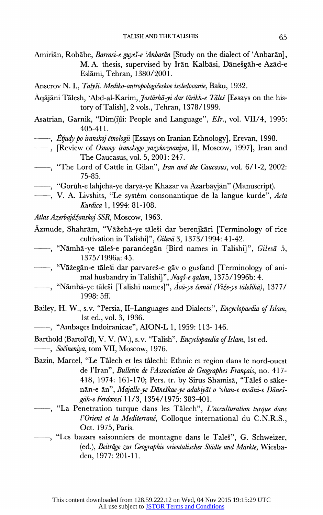- Amiriān, Robābe, *Barrasi-e guyeš-e 'Anbarān* [Study on the dialect of 'Anbarān], **M. A. thesis, supervised by Iran Kalbasi, Danesgah-e Azad-e Eslami, Tehran, 1380/2001.**
- Anserov N. I., *Talyši. Mediko-antropologičeskoe issledovanie*, Baku, 1932.
- $\bar{A}$ qājāni Tālesh, 'Abd-al-Karim, *Jostārhā-yi dar tārikh-e Tāleš* [Essays on the his**tory of Talish], 2 vols., Tehran, 1378/1999.**
- **Asatrian, Garnik, "Dim(i)li: People and Language", EIr., vol. VII/4, 1995: 405-411.**
- **Ejudy po iranskoj etnologii [Essays on Iranian Ethnology], Erevan, 1998.**
- **[Review of Osnovy iranskogo yazykoznanya, II, Moscow, 1997], Iran and The Caucasus, vol. 5, 2001: 247.**
- **"The Lord of Cattle in Gilan", Iran and the Caucasus, vol. 6/1-2, 2002: 75-85.**
- **"Goriih-e lahjeha-ye darya-ye Khazar va Azarbayjan" (Manuscript).**
- **,V. A. Livshits, "Le system consonantique de la langue kurde", Acta Kurdica 1, 1994: 81-108.**

**Atlas Azerbajdzanskoj SSR, Moscow, 1963.** 

- **Azmude, Shahram, "Vazeha-ye talesi dar berenjkari [Terminology of rice**  cultivation in Talishi]", *Gilevā* 3, 1373/1994: 41-42.
- -, "Nāmhā-ye tāleš-e parandegān [Bird names in Talishi]", *Gilevā* 5, **1375/1996a: 45.**
- Wāžegān-e tāleši dar parvareš-e gāv o gusfand [Terminology of ani**mal husbandry in Talishi]", Naqs'-e qalam, 1375/1996b: 4.**
- —, "Nāmhā-ye tāleši [Talishi names]", *Āvā-ye šomāl (Viže-ye tālešihā)*, 1377/ **1998: 5ff.**
- **Bailey, H. W., s.v. "Persia, II-Languages and Dialects", Encyclopaedia of Islam, 1st ed., vol. 3, 1936.**
- **"Ambages Indoiranicae", AION-L 1, 1959: 113- 146.**
- Barthold (Bartol'd), V. V. (W.), s. v. "Talish", *Encyclopaedia of Islam*, 1st ed.
- **, Socinenya, tom VII, Moscow, 1976.**
- **Bazin, Marcel, "Le Talech et les talechi: Ethnic et region dans le nord-ouest**  de l'Iran", *Bulletin de l'Association de Geographes Français*, no. 417-**418, 1974: 161-170; Pers. tr. by Sirus Shamisa, "Tales o sake**nān-e ān", Majalle-ye Dāneškae-ye adabiyāt o 'olum-e ensāni-e Dāneš**gdh-e Ferdowsi 11 /3, 1354/1975: 383-401.**
- **"La Penetration turque dans les Talech", L'acculturation turque dans**  l'Orient et la Mediterrané, Colloque international du C.N.R.S., **Oct. 1975, Paris.**
- **"Les bazars saisonniers de montague dans le Tales", G. Schweizer,**  (ed.), Beiträge zur Geographie orientalischer Städte und Märkte, Wiesba**den, 1977: 201-11.**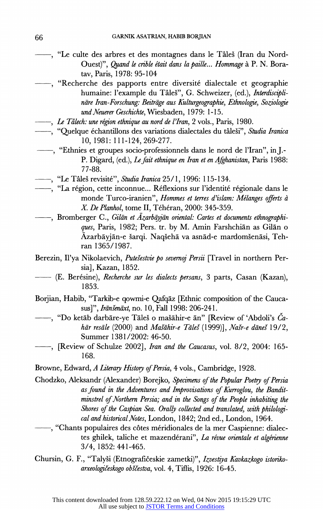- **"Le culte des arbres et des montagnes dans le Tales (Iran du Nord-**Ouest)", Quand le crible était dans la paille... Hommage à P. N. Bora**tav, Paris, 1978: 95-104** 
	- **"Recherche des papports entre diversite dialectale et geographie**  humaine: l'example du Tâleš", G. Schweizer, (ed.), Interdiscipli**ndre Iran-Forschung: Beitrdge aus Kulturgeographie, Ethnologie, Soziologie und Neuerer Geschichte, Wiesbaden, 1979: 1-15.**
- **Le Tdlech: une region ethnique au nord de l'Iran, 2 vols., Paris, 1980.**
- **,"Quelque echantillons des variations dialectales du talesi", Studia Iranica 10, 1981: 111-124,269-277.**
- **"Ethnies et groupes socio-professionnels dans le nord de l'Iran", inJ.- P. Digard, (ed.), Lefait ethnique en Iran et en Afghanistan, Paris 1988: 77-88.**
- **"Le Tales revisite", Studia Iranica 25/1, 1996: 115-134.**
- **"La region, cette inconnue... Reflexions sur l'identite regionale dans le monde Turco-iranien", Hommes et terres d'islam: Melanges offerts 2 X. De Planhol, tome II, Teheran, 2000: 345-359.**
- **Bromberger C., Gilān et Āzarbāyjān oriental: Cartes et documents ethnographiques, Paris, 1982; Pers. tr. by M. Amin Farshchian as Gilan o Azarbayjan-e sarqi. Naqseha va asnad-e mardomsenasi, Tehran 1365/1987.**
- Berezin, Il'ya Nikolaevich, Putešestvie po severnoj Persii [Travel in northern Per**sia], Kazan, 1852.**
- **(E. Beresine), Recherche sur les dialects persans, 3 parts, Casan (Kazan), 1853.**
- **Borjian, Habib, "Tarkib-e qowmi-e Qafqaz [Ethnic composition of the Cauca**sus]", *Irānšenāxt*, no. 10, Fall 1998: 206-241.
	- —, "Do ketāb darbāre-ye Tāleš o mašāhir-e ān" [Review of 'Abdoli's *Ča*hār resāle (2000) and Mašāhir-e Tāleš (1999)], Našr-e dāneš 19/2, **Summer 1381/2002: 46-50.**
- **, [Review of Schulze 2002], Iran and the Caucasus, vol. 8/2, 2004: 165- 168.**

Browne, Edward, *A Literary History of Persia*, 4 vols., Cambridge, 1928.

- Chodzko, Aleksandr (Alexander) Borejko, Specimens of the Popular Poetry of Persia **as found in the Adventures and Improvisations of Kurroglou, the Banditminstrel of Northern Persia; and in the Songs of the People inhabiting the Shores of the Caspian Sea. Orally collected and translated, with philological and historical Notes, London, 1842; 2nd ed., London, 1964.**
- **"Chants populaires des cotes meridionales de la mer Caspienne: dialec**tes ghilek, taliche et mazendérani", La révue orientale et algérienne **3/4, 1852: 441-465.**
- **Chursin, G. F., "Talysi (Etnograficeskie zametki)", Izvestiya Kavkazkogo istorikoarxeologiceskogo obs'cestva, vol. 4, Tiflis, 1926: 16-45.**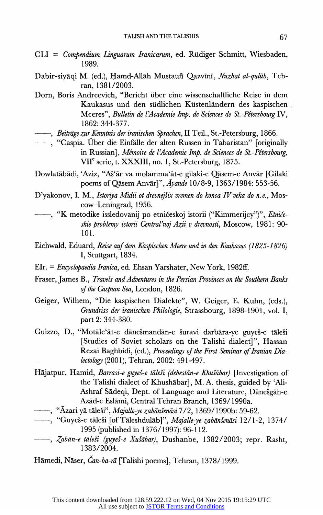- **CLI = Compendium Linguarum Iranicarum, ed. Rudiger Schmitt, Wiesbaden, 1989.**
- Dabir-siyāqi M. (ed.), Hamd-Allāh Mustaufi Qazvīnī, Nuzhat al-qulūb, Teh**ran, 1381/2003.**
- **Dorn, Boris Andreevich, "Bericht uber eine wissenschaftliche Reise in dem Kaukasus und den sudlichen Kustenlandern des kaspischen Meeres", Bulletin de l'Academie Imp. de Sciences de St.-Pe'tersbourg IV, 1862: 344-377.**
- **Beitrdge zur Kenntnis der iranischen Sprachen, II Teil., St.-Petersburg, 1866.**
- **, "Caspia. Uber die Einfalle der alten Russen in Tabaristan" [originally**  in Russian], Mémoire de l'Academie Imp. de Sciences de St.-Pétersbourg, **VIle serie, t. XXXIII, no. 1, St.-Petersburg, 1875.**
- **Dowlatabadi, 'Aziz, "As'ar va molamma'at-e gilaki-e Qasem-e Anvar [Gilaki poems of Qasem Anvar] ", Ayande 10/8-9, 1363/1984: 553-56.**
- D'yakonov, I. M., *Istoriya Midii ot drevnejšix vremen do konca IV veka do n.e.*, Mos**cow-Leningrad, 1956.**
- **K metodike issledovanij po etničeskoj istorii ("Kimmerijcy")", Etničeskie problemy istorii Central'noj Azii v drevnosti, Moscow, 1981: 90- 101.**
- Eichwald, Eduard, Reise auf dem Kaspischen Meere und in den Kaukasus (1825-1826) **I, Stuttgart, 1834.**
- **EIr. = Encyclopaedia Iranica, ed. Ehsan Yarshater, New York, 1982ff.**
- **Fraser, James B., Travels and Adventures in the Persian Provinces on the Southern Banks of the Caspian Sea, London, 1826.**
- **Geiger, Wilhem, "Die kaspischen Dialekte", W. Geiger, E. Kuhn, (eds.), Grundriss der iranischen Philologie, Strassbourg, 1898-1901, vol. I, part 2: 344-380.**
- **Guizzo, D., "Motale'at-e danesmandan-e suravi darbara-ye guyes-e talesi [Studies of Soviet scholars on the Talishi dialect]", Hassan Rezai Baghbidi, (ed.), Proceedings of the First Seminar of Iranian Dialectologv (2001), Tehran, 2002: 491-497.**
- Hājatpur, Hamid, Barrasi-e guyeš-e tāleši (dehestān-e Khušābar) [Investigation of **the Talishi dialect of Khushabar], M. A. thesis, guided by 'Ali-Ashraf Sadeqi, Dept. of Language and Literature, Danesgah-e Azad-e Eslami, Central Tehran Branch, 1369/1990a.**
- ---, "Āzari yā tāleši", *Majalle-ye zabānšenāsi* 7/2, 1369/1990b: 59-62.
- **"Guyes-e talesi [of Taleshdulab]", Majalle-ye zabansendsi 12/1-2, 1374/ 1995 (published in 1376/1997): 96-112.**
- <sup>2</sup> Zabān-e tāleši (guyeš-e Xušābar), Dushanbe, 1382/2003; repr. Rasht, **1383/2004.**
- **Hamedi, Naser, Can-ba-rd [Talishi poems], Tehran, 1378/1999.**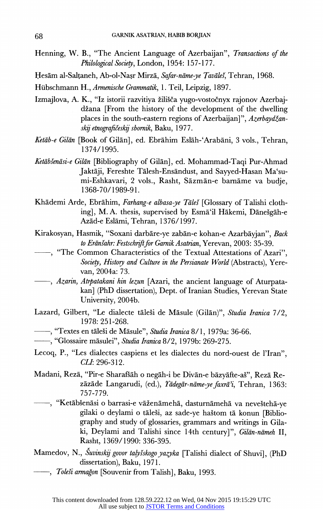- Henning, W. B., "The Ancient Language of Azerbaijan", *Transactions of the* **Philological Sociey, London, 1954: 157-177.**
- Hesām al-Saltaneh, Ab-ol-Nașr Mirzā, Safar-nāme-ye Țavāleš, Tehran, 1968.

**Hubschmann H., Armenische Grammatik, 1. Teil, Leipzig, 1897.** 

- Izmajlova, A. K., "Iz istorii razvitiya žilišča yugo-vostočnyx rajonov Azerbaj**dzana [From the history of the development of the dwelling**  places in the south-eastern regions of Azerbaijan]", Azerbaydžanskij etnografičeskij sbornik, Baku, 1977.
- Ketāb-e Gilān [Book of Gilān], ed. Ebrāhim Eslāh-'Arabāni, 3 vols., Tehran, **1374/1995.**
- **Ketabsendsi-e Gildn [Bibliography of Gilan], ed. Mohammad-Taqi Pur-Ahmad Jaktaji, Fereshte Talesh-Ensandust, and Sayyed-Hasan Ma'sumi-Eshkavari, 2 vols., Rasht, Sazman-e bamame va budje, 1368-70/1989-91.**
- Khādemi Arde, Ebrāhim, Farhang-e albasa-ye Tāleš [Glossary of Talishi cloth**ing], M. A. thesis, supervised by Esma'il Hakemi, Danesgah-e Azad-e Eslami, Tehran, 1376/1997.**
- **Kirakosyan, Hasmik, "Soxani darbare-ye zaban-e kohan-e Azarbayjan", Back**  to Erānšahr: Festschrift for Garnik Asatrian, Yerevan, 2003: 35-39.
- **, "The Common Characteristics of the Textual Attestations of Azari",**  Society, History and Culture in the Persianate World (Abstracts), Yere**van, 2004a: 73.**
- -, Azarin, Atrpatakani hin lezun [Azari, the ancient language of Aturpata**kan] (PhD dissertation), Dept. of Iranian Studies, Yerevan State University, 2004b.**
- **Lazard, Gilbert, "Le dialecte talesi de Masule (Gilan)", Studia Iranica 7/2, 1978: 251-268.**
- **"Textes en talesi de Masule", Studia Iranica 8/1, 1979a: 36-66.**
- **"Glossaire masulei", Studia Iranica 8/2, 1979b: 269-275.**
- **Lecoq, P., "Les dialectes caspiens et les dialectes du nord-ouest de l'Iran", CLI: 296-312.**
- **Madani, Reza, "Pir-e Sharaf'sah onegah-i be Divan-e bazyafte-as", Reza Re**zāzāde Langarudi, (ed.), Yādegār-nāme-ye faxrā'i, Tehran, 1363: **757-779.**
- **"Ketabsenasi o barrasi-e vazenameha, dasturnameha va nevesteha-ye gilaki o deylami o talesi, az sade-ye hastom ta konun [Bibliography and study of glossaries, grammars and writings in Gila**ki, Deylami and Talishi since 14th century]", Gilān-nāmeh II, **Rasht, 1369/1990: 336-395.**
- **v Mamedov, N., Suvinskj govor tayl.skogoyazyka [Talishi dialect of Shuvi], (PhD dissertation), Baku, 1971.** 
	- **Toles'i armagon [Souvenir from Talish], Baku, 1993.**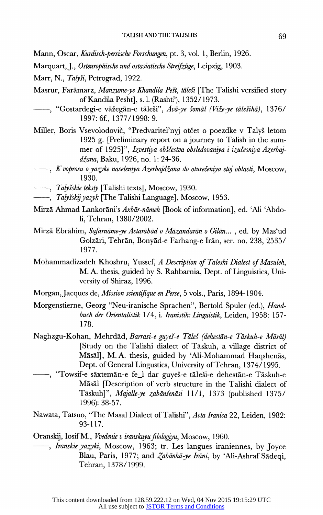- **Mann, Oscar, Kurdisch-persische Forschungen, pt. 3, vol. 1, Berlin, 1926.**
- Marquart, J., Osteuropäische und ostasiatische Streifzüge, Leipzig, 1903.
- **Marr, N., Talys'i, Petrograd, 1922.**
- Masrur, Farāmarz, Manzume-ye Khandila Pešt, tāleši [The Talishi versified story **of Kandila Pesht], s. 1. (Rasht?), 1352/1973.**
- <sup>-</sup>, "Gostardegi-e vāžegān-e tāleši", Āvā-ye šomāl (Viže-ye tālešihā), 1376/ **1997: 6f., 1377/1998:9.**
- Miller, Boris Vsevolodovič, "Predvaritel'nyj otčet o poezdke v Talyš letom **1925 g. [Preliminary report on a journey to Talish in the sum**mer of 1925]", Izvestiya obščestva obsledovaniya i izučesniya Azerbaj**dzana, Baku, 1926, no. 1: 24-36.**
- **K** voprosu o yazyke naseleniya Azerbajdžana do oturečeniya etoj oblasti, Moscow, **1930.**
- **,Tayslskie teks!y [Talishi texts], Moscow, 1930.**
- **, Taylsskijyazyk [The Talishi Language], Moscow, 1953.**
- Mirzā Ahmad Lankorāni's Axbār-nāmeh [Book of information], ed. 'Ali 'Abdo**li, Tehran, 1380/2002.**
- Mirzā Ebrāhim, Safamāme-ye Astarābād o Māzandarān o Gilān..., ed. by Mas'ud **Golzari, Tehran, Bonyad-e Farhang-e Iran, ser. no. 238, 2535/ 1977.**
- **Mohammadizadeh Khoshru, Yussef, A Description of Taleshi Dialect of Masuleh, M. A. thesis, guided by S. Rahbarnia, Dept. of Linguistics, University of Shiraz, 1996.**
- Morgan, Jacques de, *Mission scientifique en Perse*, 5 vols., Paris, 1894-1904.
- **Morgenstierne, Georg "Neu-iranische Sprachen", Bertold Spuler (ed.), Handbuch der Orientalistik 1/4, i. Iranistik: Linguistik, Leiden, 1958: 157- 178.**
- Naghzgu-Kohan, Mehrdād, Barrasi-e guyeš-e Tāleš (dehestān-e Tāskuh-e Māsāl) **[Study on the Talishi dialect of Taskuh, a village district of Masal], M. A. thesis, guided by 'Ali-Mohammad Haqshenas, Dept. of General Lingustics, University of Tehran, 1374/1995.**
- **"Towsif-e saxteman-e fe\_1 dar guyes-e talesi-e dehestan-e Taskuh-e Masal [Description of verb structure in the Talishi dialect of**  Tāskuh]", Majalle-ye zabānšenāsi 11/1, 1373 (published 1375/ **1996): 38-57.**
- **Nawata, Tatsuo, "The Masal Dialect of Talishi", Acta Iranica 22, Leiden, 1982: 93-117.**
- **Oranskij, IosifM., Vvedenie v iranskuyufilologiyu, Moscow, 1960.**
- **Iranskie yazyki, Moscow, 1963; tr. Les langues iraniennes, by Joyce**  Blau, Paris, 1977; and Zabānhā-ye Irāni, by 'Ali-Ashraf Sādeqi, **Tehran, 1378/1999.**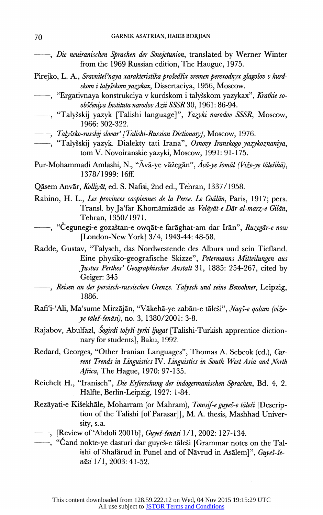- **Die neuiranischen Sprachen der Sowjetunion, translated by Werner Winter from the 1969 Russian edition, The Haugue, 1975.**
- Pirejko, L. A., Sravnitel'naya xarakteristika prošedšix vremen perexodnyx glagolov v kurdskom i talyšskom yazykax, Dissertaciya, 1956, Moscow.
- **"Ergativnaya konstrukciya v kurdskom i talysskom yazykax", Kratkie soobscenya Instituta narodovAzii SSSR 30, 1961: 86-94.**
- **"Talysskij yazyk [Talishi language]", Yazyki narodov SSSR, Moscow, 1966: 302-322.**
- **TaylVsko-russkij slovar' /Talishi-Russian Dictionary], Moscow, 1976.**
- **"Talysskij yazyk. Dialekty tati Irana", Osnovy Iranskogo yazykoznanya, tom V. Novoiranskie yazyki, Moscow, 1991: 91-175.**
- Pur-Mohammadi Amlashi, N., "Āvā-ye vāžegān", Āvā-ye šomāl (Viže-ye tālešihā), **1378/1999: 16ff.**
- Qāsem Anvār, Kolliyāt, ed. S. Nafisi, 2nd ed., Tehran, 1337/1958.
- Rabino, H. L., Les provinces caspiennes de la Perse. Le Guîlān, Paris, 1917; pers. Transl. by Ja'far Khomāmizāde as Velāyāt-e Dār al-marz-e Gilān, **Tehran, 1350/1971.**
- ---, "Čegunegi-e gozaštan-e owqāt-e farāghat-am dar Irān", Ruzegār-e now **[London-New York] 3/4, 1943-44: 48-58.**
- **Radde, Gustav, "Talysch, das Nordwestende des Alburs und sein Tiefland. Eine physiko-geografische Skizze", Petermanns Mitteilungen aus Justus Perthes' Geographischer Anstalt 31, 1885: 254-267, cited by Geiger: 345**
- **Reisen an der persisch-russischen Grenze. Talysch und seine Bewohner, Leipzig, 1886.**
- Rafi'i-'Ali, Ma'sume Mirzājān, "Vākehā-ye zabān-e tāleši", Naqš-e galam (viže**ye td1es-sendsi), no. 3, 1380/2001: 3-8.**
- Rajabov, Abulfazl, Šogirdi tolyši-tyrki ljugat [Talishi-Turkish apprentice diction**nary for students], Baku, 1992.**
- **Redard, Georges, "Other Iranian Languages", Thomas A. Sebeok (ed.), Current Trends in Linguistics IV. Linguistics in South West Asia and North Africa, The Hague, 1970: 97-135.**
- **Reichelt H., "Iranisch", Die Erforschung der indogermanischen Sprachen, Bd. 4, 2. Haifte, Berlin-Leipzig, 1927: 1-84.**
- Rezāyati-e Kišekhāle, Moharram (or Mahram), Towsif-e guyeš-e tāleši [Descrip**tion of the Talishi [of Parasar]], M. A. thesis, Mashhad University, s. a.**
- **Review of 'Abdoli 2001b]**, Guyeš-šenāsi 1/1, 2002: 127-134.
- **, "Cand nokte-ye dasturi dar guyes-e talesi [Grammar notes on the Tal**ishi of Shafarud in Punel and of Navrud in Asalem]", Guyeš-še**n2/si I/ 1 2003: 41 -52.**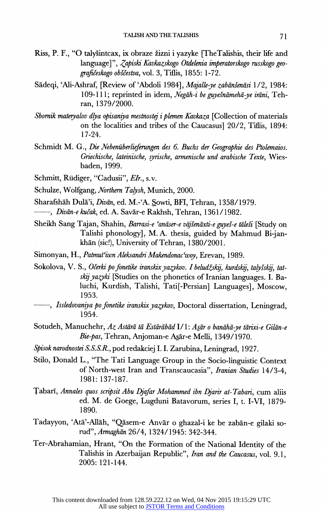- **Riss, P. F., "O talysintcax, ix obraze zizni i yazyke [TheTalishis, their life and**  language]", *Zapiski Kavkazskogo Otdelenia imperatorskogo russkogo geo***graficeskogo obsestva, vol. 3, Tiflis, 1855: 1-72.**
- Sādeqi, 'Ali-Ashraf, [Review of 'Abdoli 1984], Majalle-ye zabānšenāsi 1/2, 1984: 109-111; reprinted in idem, Negāh-i be guyešnāmehā-ye irāni, Teh**ran, 1379/2000.**
- Sbornik materyalov dlya opisaniya mestnostej i plemen Kavkaza [Collection of materials **on the localities and tribes of the Caucasus] 20/2, Tiflis, 1894: 17-24.**
- Schmidt M. G., *Die Nebenüberlieferungen des 6. Buchs der Geographie des Ptolemaios.* **Griechische, lateinische, syrische, armenische und arabische Texte, Wiesbaden, 1999.**
- **Schmitt, Rudiger, "Cadusii", EIr., s.v.**
- **Schulze, Wolfgang, Northern Talysh, Munich, 2000.**
- Sharafshāh Dulā'i, *Divān*, ed. M.-'A. Sowti, BFI, Tehran, 1358/1979.
- **, Divdn-e kucak, ed. A. Savar-e Rakhsh, Tehran, 1361/1982.**
- Sheikh Sang Tajan, Shahin, Barrasi-e 'anāser-e vājšenāxti-e guyeš-e tāleši [Study on **Talishi phonology], M. A. thesis, guided by Mahmud Bi-jankhan (sic!), University of Tehran, 1380/2001.**
- **Simonyan, H., Patmut'iwn Aleksandri Makendonac'woy, Erevan, 1989.**
- Sokolova, V. S., Očerki po fonetike iranskix yazykov. I beludžskij, kurdskij, talyšskij, tatskij yazyki [Studies on the phonetics of Iranian languages. I. Ba**luchi, Kurdish, Talishi, Tati[-Persian] Languages], Moscow, 1953.**
- **Issledovaniya po fonetike iranskix yazykov, Doctoral dissertation, Leningrad, 1954.**
- Sotudeh, Manuchehr, Az Astārā tā Estārābād I/ 1: Asār o banāhā-ye tārixi-e Gilān-e **Bie-pas, Tehran, Anjoman-e Asar-e Melli, 1349/1970.**
- **Spisok narodnostei S.S.S.R., pod redakciej I. I. Zarubina, Leningrad, 1927.**
- **Stilo, Donald L., "The Tati Language Group in the Socio-linguistic Context of North-west Iran and Transcaucasia", Iranian Studies 14/3-4, 1981: 137-187.**
- Tabari, Annales quos scripsit Abu Djafar Mohammed ibn Djarir at-Tabari, cum aliis **ed. M. de Goege, Lugduni Batavorum, series I, t. I-VI, 1879- 1890.**
- **Tadayyon, 'Ata'-Allah, "Qasem-e Anvar o ghazal-i ke be zaban-e gilaki so**rud", Armaghān 26/4, 1324/1945: 342-344.
- **Ter-Abrahamian, Hrant, "On the Formation of the National Identity of the Talishis in Azerbaijan Republic", Iran and the Caucasus, vol. 9.1, 2005: 121-144.**